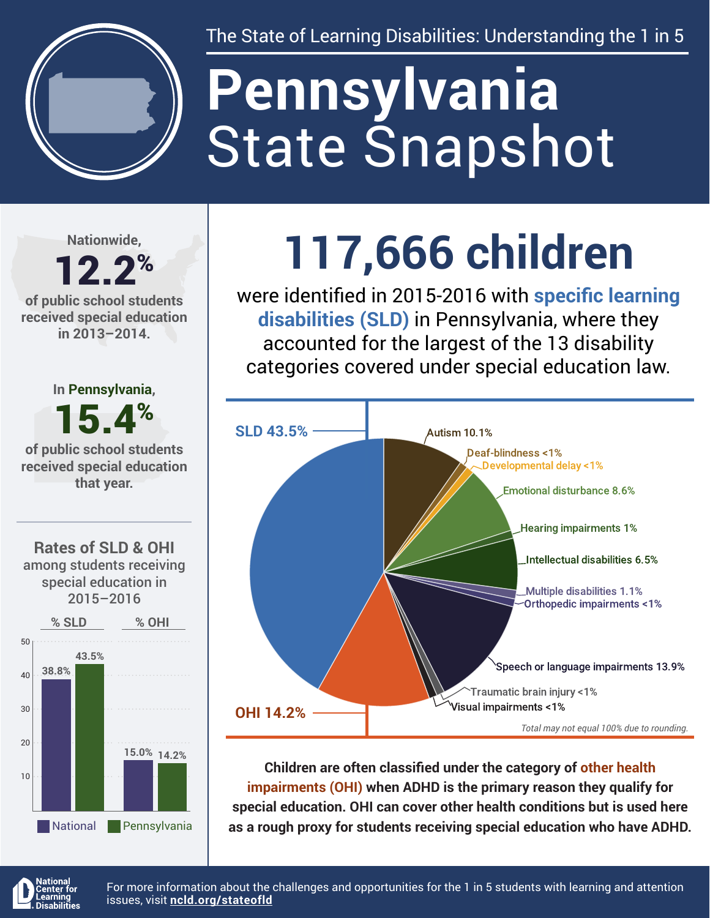

The State of Learning Disabilities: Understanding the 1 in 5

# State Snapshot **Pennsylvania**

**Nationwide,**

#### 12.2% **of public school students received special education in 2013–2014.**





## **117,666 children**

were identified in 2015-2016 with **specific learning disabilities (SLD)** in Pennsylvania, where they accounted for the largest of the 13 disability categories covered under special education law.



**Children are often classified under the category of other health impairments (OHI) when ADHD is the primary reason they qualify for special education. OHI can cover other health conditions but is used here as a rough proxy for students receiving special education who have ADHD.**



For more information about the challenges and opportunities for the 1 in 5 students with learning and attention issues, visit **[ncld.org/stateofld](http://ncld.org/stateofld)**